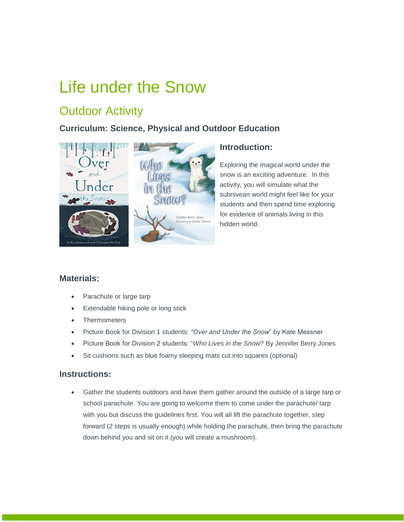# Life under the Snow

# **Outdoor Activity**

## **Curriculum: Science, Physical and Outdoor Education**



### **Introduction:**

Exploring the magical world under the snow is an exciting adventure. In this activity, you will simulate what the subnivean world might feel like for your students and then spend time exploring for evidence of animals living in this hidden world.

### **Materials:**

- Parachute or large tarp
- **Extendable hiking pole or long stick**
- **Thermometers**
- Picture Book for Division 1 students: *"Over and Under the Snow*" by Kate Messner
- Picture Book for Division 2 students: "*Who Lives in the Snow*? By Jennifer Berry Jones
- Sit cushions such as blue foamy sleeping mats cut into squares (optional)

#### **Instructions:**

 Gather the students outdoors and have them gather around the outside of a large tarp or school parachute. You are going to welcome them to come under the parachute/ tarp with you but discuss the guidelines first. You will all lift the parachute together, step forward (2 steps is usually enough) while holding the parachute, then bring the parachute down behind you and sit on it (you will create a mushroom).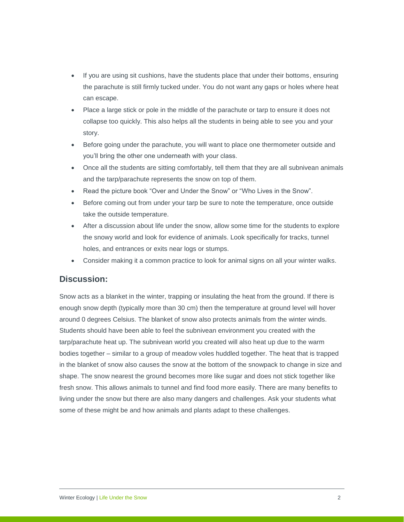- If you are using sit cushions, have the students place that under their bottoms, ensuring the parachute is still firmly tucked under. You do not want any gaps or holes where heat can escape.
- Place a large stick or pole in the middle of the parachute or tarp to ensure it does not collapse too quickly. This also helps all the students in being able to see you and your story.
- Before going under the parachute, you will want to place one thermometer outside and you'll bring the other one underneath with your class.
- Once all the students are sitting comfortably, tell them that they are all subnivean animals and the tarp/parachute represents the snow on top of them.
- Read the picture book "Over and Under the Snow" or "Who Lives in the Snow".
- Before coming out from under your tarp be sure to note the temperature, once outside take the outside temperature.
- After a discussion about life under the snow, allow some time for the students to explore the snowy world and look for evidence of animals. Look specifically for tracks, tunnel holes, and entrances or exits near logs or stumps.
- Consider making it a common practice to look for animal signs on all your winter walks.

#### **Discussion:**

Snow acts as a blanket in the winter, trapping or insulating the heat from the ground. If there is enough snow depth (typically more than 30 cm) then the temperature at ground level will hover around 0 degrees Celsius. The blanket of snow also protects animals from the winter winds. Students should have been able to feel the subnivean environment you created with the tarp/parachute heat up. The subnivean world you created will also heat up due to the warm bodies together – similar to a group of meadow voles huddled together. The heat that is trapped in the blanket of snow also causes the snow at the bottom of the snowpack to change in size and shape. The snow nearest the ground becomes more like sugar and does not stick together like fresh snow. This allows animals to tunnel and find food more easily. There are many benefits to living under the snow but there are also many dangers and challenges. Ask your students what some of these might be and how animals and plants adapt to these challenges.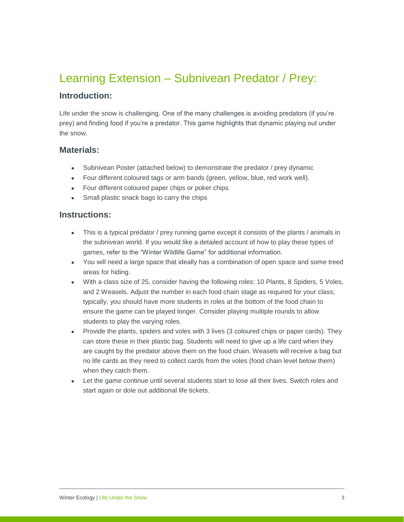# Learning Extension – Subnivean Predator / Prey:

#### **Introduction:**

Life under the snow is challenging. One of the many challenges is avoiding predators (if you're prey) and finding food if you're a predator. This game highlights that dynamic playing out under the snow.

#### **Materials:**

- Subnivean Poster (attached below) to demonstrate the predator / prey dynamic
- Four different coloured tags or arm bands (green, yellow, blue, red work well).
- Four different coloured paper chips or poker chips
- Small plastic snack bags to carry the chips

#### **Instructions:**

- This is a typical predator / prey running game except it consists of the plants / animals in the subnivean world. If you would like a detailed account of how to play these types of games, refer to the "Winter Wildlife Game" for additional information.
- You will need a large space that ideally has a combination of open space and some treed areas for hiding.
- With a class size of 25, consider having the following roles: 10 Plants, 8 Spiders, 5 Voles, and 2 Weasels. Adjust the number in each food chain stage as required for your class; typically, you should have more students in roles at the bottom of the food chain to ensure the game can be played longer. Consider playing multiple rounds to allow students to play the varying roles.
- Provide the plants, spiders and voles with 3 lives (3 coloured chips or paper cards). They can store these in their plastic bag. Students will need to give up a life card when they are caught by the predator above them on the food chain. Weasels will receive a bag but no life cards as they need to collect cards from the voles (food chain level below them) when they catch them.
- Let the game continue until several students start to lose all their lives. Switch roles and start again or dole out additional life tickets.